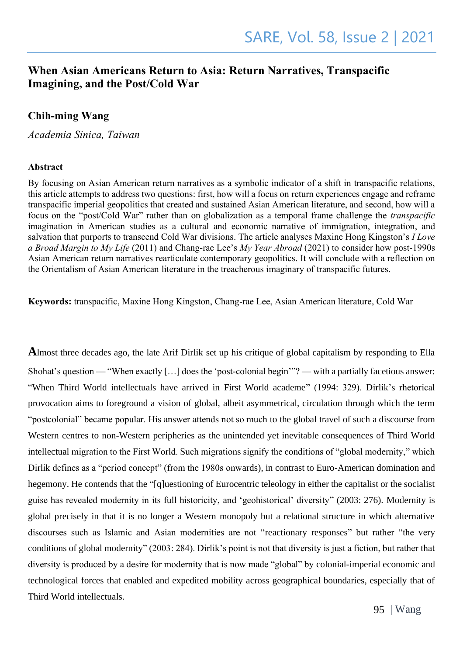### **When Asian Americans Return to Asia: Return Narratives, Transpacific Imagining, and the Post/Cold War**

### **Chih-ming Wang**

*Academia Sinica, Taiwan* 

#### **Abstract**

By focusing on Asian American return narratives as a symbolic indicator of a shift in transpacific relations, this article attempts to address two questions: first, how will a focus on return experiences engage and reframe transpacific imperial geopolitics that created and sustained Asian American literature, and second, how will a focus on the "post/Cold War" rather than on globalization as a temporal frame challenge the *transpacific* imagination in American studies as a cultural and economic narrative of immigration, integration, and salvation that purports to transcend Cold War divisions. The article analyses Maxine Hong Kingston's *I Love a Broad Margin to My Life* (2011) and Chang-rae Lee's *My Year Abroad* (2021) to consider how post-1990s Asian American return narratives rearticulate contemporary geopolitics. It will conclude with a reflection on the Orientalism of Asian American literature in the treacherous imaginary of transpacific futures.

**Keywords:** transpacific, Maxine Hong Kingston, Chang-rae Lee, Asian American literature, Cold War

**A**lmost three decades ago, the late Arif Dirlik set up his critique of global capitalism by responding to Ella Shohat's question — "When exactly […] does the 'post-colonial begin'"? — with a partially facetious answer: "When Third World intellectuals have arrived in First World academe" (1994: 329). Dirlik's rhetorical provocation aims to foreground a vision of global, albeit asymmetrical, circulation through which the term "postcolonial" became popular. His answer attends not so much to the global travel of such a discourse from Western centres to non-Western peripheries as the unintended yet inevitable consequences of Third World intellectual migration to the First World. Such migrations signify the conditions of "global modernity," which Dirlik defines as a "period concept" (from the 1980s onwards), in contrast to Euro-American domination and hegemony. He contends that the "[q]uestioning of Eurocentric teleology in either the capitalist or the socialist guise has revealed modernity in its full historicity, and 'geohistorical' diversity" (2003: 276). Modernity is global precisely in that it is no longer a Western monopoly but a relational structure in which alternative discourses such as Islamic and Asian modernities are not "reactionary responses" but rather "the very conditions of global modernity" (2003: 284). Dirlik's point is not that diversity is just a fiction, but rather that diversity is produced by a desire for modernity that is now made "global" by colonial-imperial economic and technological forces that enabled and expedited mobility across geographical boundaries, especially that of Third World intellectuals.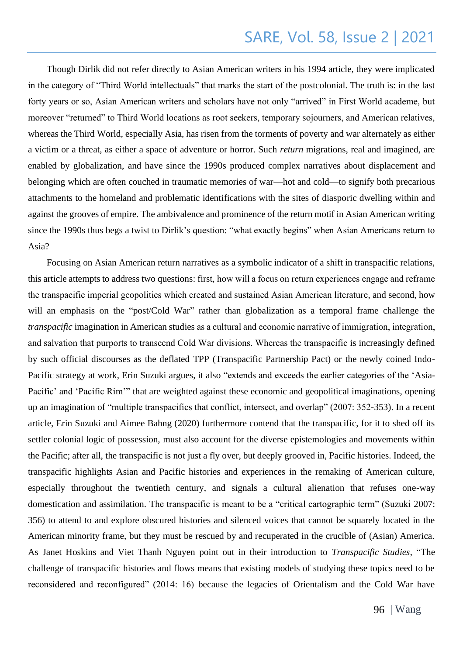Though Dirlik did not refer directly to Asian American writers in his 1994 article, they were implicated in the category of "Third World intellectuals" that marks the start of the postcolonial. The truth is: in the last forty years or so, Asian American writers and scholars have not only "arrived" in First World academe, but moreover "returned" to Third World locations as root seekers, temporary sojourners, and American relatives, whereas the Third World, especially Asia, has risen from the torments of poverty and war alternately as either a victim or a threat, as either a space of adventure or horror. Such *return* migrations, real and imagined, are enabled by globalization, and have since the 1990s produced complex narratives about displacement and belonging which are often couched in traumatic memories of war—hot and cold—to signify both precarious attachments to the homeland and problematic identifications with the sites of diasporic dwelling within and against the grooves of empire. The ambivalence and prominence of the return motif in Asian American writing since the 1990s thus begs a twist to Dirlik's question: "what exactly begins" when Asian Americans return to Asia?

Focusing on Asian American return narratives as a symbolic indicator of a shift in transpacific relations, this article attempts to address two questions: first, how will a focus on return experiences engage and reframe the transpacific imperial geopolitics which created and sustained Asian American literature, and second, how will an emphasis on the "post/Cold War" rather than globalization as a temporal frame challenge the *transpacific* imagination in American studies as a cultural and economic narrative of immigration, integration, and salvation that purports to transcend Cold War divisions. Whereas the transpacific is increasingly defined by such official discourses as the deflated TPP (Transpacific Partnership Pact) or the newly coined Indo-Pacific strategy at work, Erin Suzuki argues, it also "extends and exceeds the earlier categories of the 'Asia-Pacific' and 'Pacific Rim'" that are weighted against these economic and geopolitical imaginations, opening up an imagination of "multiple transpacifics that conflict, intersect, and overlap" (2007: 352-353). In a recent article, Erin Suzuki and Aimee Bahng (2020) furthermore contend that the transpacific, for it to shed off its settler colonial logic of possession, must also account for the diverse epistemologies and movements within the Pacific; after all, the transpacific is not just a fly over, but deeply grooved in, Pacific histories. Indeed, the transpacific highlights Asian and Pacific histories and experiences in the remaking of American culture, especially throughout the twentieth century, and signals a cultural alienation that refuses one-way domestication and assimilation. The transpacific is meant to be a "critical cartographic term" (Suzuki 2007: 356) to attend to and explore obscured histories and silenced voices that cannot be squarely located in the American minority frame, but they must be rescued by and recuperated in the crucible of (Asian) America. As Janet Hoskins and Viet Thanh Nguyen point out in their introduction to *Transpacific Studies*, "The challenge of transpacific histories and flows means that existing models of studying these topics need to be reconsidered and reconfigured" (2014: 16) because the legacies of Orientalism and the Cold War have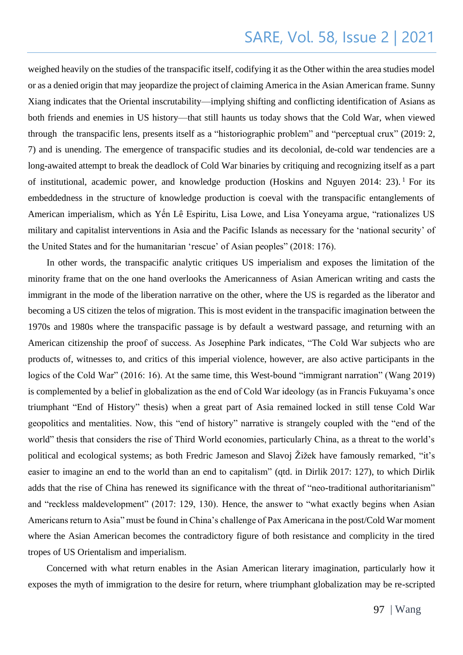weighed heavily on the studies of the transpacific itself, codifying it as the Other within the area studies model or as a denied origin that may jeopardize the project of claiming America in the Asian American frame. Sunny Xiang indicates that the Oriental inscrutability—implying shifting and conflicting identification of Asians as both friends and enemies in US history—that still haunts us today shows that the Cold War, when viewed through the transpacific lens, presents itself as a "historiographic problem" and "perceptual crux" (2019: 2, 7) and is unending. The emergence of transpacific studies and its decolonial, de-cold war tendencies are a long-awaited attempt to break the deadlock of Cold War binaries by critiquing and recognizing itself as a part of institutional, academic power, and knowledge production (Hoskins and Nguyen 2014: 23). <sup>1</sup> For its embeddedness in the structure of knowledge production is coeval with the transpacific entanglements of American imperialism, which as Yến Lê Espiritu, Lisa Lowe, and Lisa Yoneyama argue, "rationalizes US military and capitalist interventions in Asia and the Pacific Islands as necessary for the 'national security' of the United States and for the humanitarian 'rescue' of Asian peoples" (2018: 176).

In other words, the transpacific analytic critiques US imperialism and exposes the limitation of the minority frame that on the one hand overlooks the Americanness of Asian American writing and casts the immigrant in the mode of the liberation narrative on the other, where the US is regarded as the liberator and becoming a US citizen the telos of migration. This is most evident in the transpacific imagination between the 1970s and 1980s where the transpacific passage is by default a westward passage, and returning with an American citizenship the proof of success. As Josephine Park indicates, "The Cold War subjects who are products of, witnesses to, and critics of this imperial violence, however, are also active participants in the logics of the Cold War" (2016: 16). At the same time, this West-bound "immigrant narration" (Wang 2019) is complemented by a belief in globalization as the end of Cold War ideology (as in Francis Fukuyama's once triumphant "End of History" thesis) when a great part of Asia remained locked in still tense Cold War geopolitics and mentalities. Now, this "end of history" narrative is strangely coupled with the "end of the world" thesis that considers the rise of Third World economies, particularly China, as a threat to the world's political and ecological systems; as both Fredric Jameson and Slavoj Žižek have famously remarked, "it's easier to imagine an end to the world than an end to capitalism" (qtd. in Dirlik 2017: 127), to which Dirlik adds that the rise of China has renewed its significance with the threat of "neo-traditional authoritarianism" and "reckless maldevelopment" (2017: 129, 130). Hence, the answer to "what exactly begins when Asian Americans return to Asia" must be found in China's challenge of Pax Americana in the post/Cold War moment where the Asian American becomes the contradictory figure of both resistance and complicity in the tired tropes of US Orientalism and imperialism.

Concerned with what return enables in the Asian American literary imagination, particularly how it exposes the myth of immigration to the desire for return, where triumphant globalization may be re-scripted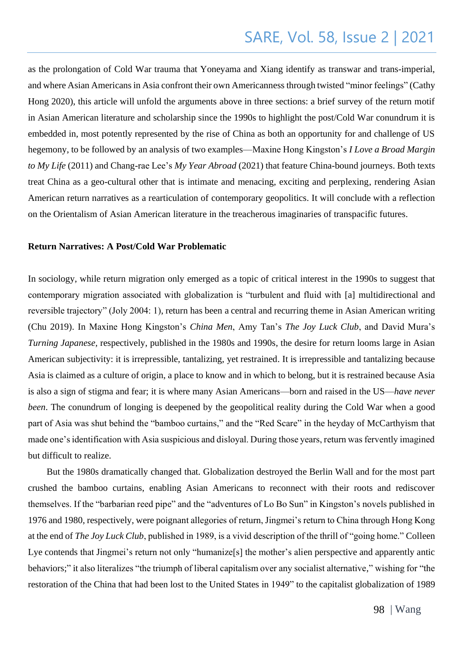as the prolongation of Cold War trauma that Yoneyama and Xiang identify as transwar and trans-imperial, and where Asian Americans in Asia confront their own Americanness through twisted "minor feelings" (Cathy Hong 2020), this article will unfold the arguments above in three sections: a brief survey of the return motif in Asian American literature and scholarship since the 1990s to highlight the post/Cold War conundrum it is embedded in, most potently represented by the rise of China as both an opportunity for and challenge of US hegemony, to be followed by an analysis of two examples—Maxine Hong Kingston's *I Love a Broad Margin to My Life* (2011) and Chang-rae Lee's *My Year Abroad* (2021) that feature China-bound journeys. Both texts treat China as a geo-cultural other that is intimate and menacing, exciting and perplexing, rendering Asian American return narratives as a rearticulation of contemporary geopolitics. It will conclude with a reflection on the Orientalism of Asian American literature in the treacherous imaginaries of transpacific futures.

#### **Return Narratives: A Post/Cold War Problematic**

In sociology, while return migration only emerged as a topic of critical interest in the 1990s to suggest that contemporary migration associated with globalization is "turbulent and fluid with [a] multidirectional and reversible trajectory" (Joly 2004: 1), return has been a central and recurring theme in Asian American writing (Chu 2019). In Maxine Hong Kingston's *China Men*, Amy Tan's *The Joy Luck Club*, and David Mura's *Turning Japanese,* respectively, published in the 1980s and 1990s, the desire for return looms large in Asian American subjectivity: it is irrepressible, tantalizing, yet restrained. It is irrepressible and tantalizing because Asia is claimed as a culture of origin, a place to know and in which to belong, but it is restrained because Asia is also a sign of stigma and fear; it is where many Asian Americans—born and raised in the US—*have never been*. The conundrum of longing is deepened by the geopolitical reality during the Cold War when a good part of Asia was shut behind the "bamboo curtains," and the "Red Scare" in the heyday of McCarthyism that made one's identification with Asia suspicious and disloyal. During those years, return was fervently imagined but difficult to realize.

But the 1980s dramatically changed that. Globalization destroyed the Berlin Wall and for the most part crushed the bamboo curtains, enabling Asian Americans to reconnect with their roots and rediscover themselves. If the "barbarian reed pipe" and the "adventures of Lo Bo Sun" in Kingston's novels published in 1976 and 1980, respectively, were poignant allegories of return, Jingmei's return to China through Hong Kong at the end of *The Joy Luck Club*, published in 1989, is a vivid description of the thrill of "going home." Colleen Lye contends that Jingmei's return not only "humanize<sup>[s]</sup> the mother's alien perspective and apparently antic behaviors;" it also literalizes "the triumph of liberal capitalism over any socialist alternative," wishing for "the restoration of the China that had been lost to the United States in 1949" to the capitalist globalization of 1989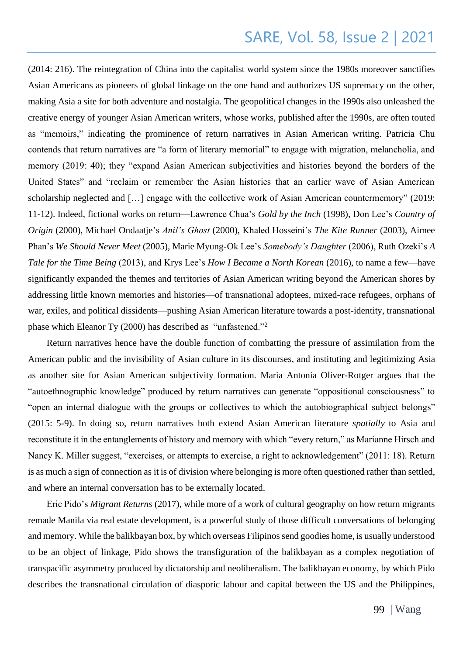(2014: 216). The reintegration of China into the capitalist world system since the 1980s moreover sanctifies Asian Americans as pioneers of global linkage on the one hand and authorizes US supremacy on the other, making Asia a site for both adventure and nostalgia. The geopolitical changes in the 1990s also unleashed the creative energy of younger Asian American writers, whose works, published after the 1990s, are often touted as "memoirs," indicating the prominence of return narratives in Asian American writing. Patricia Chu contends that return narratives are "a form of literary memorial" to engage with migration, melancholia, and memory (2019: 40); they "expand Asian American subjectivities and histories beyond the borders of the United States" and "reclaim or remember the Asian histories that an earlier wave of Asian American scholarship neglected and […] engage with the collective work of Asian American countermemory" (2019: 11-12). Indeed, fictional works on return—Lawrence Chua's *Gold by the Inch* (1998), Don Lee's *Country of Origin* (2000), Michael Ondaatje's *Anil's Ghost* (2000), Khaled Hosseini's *The Kite Runner* (2003), Aimee Phan's *We Should Never Meet* (2005), Marie Myung-Ok Lee's *Somebody's Daughter* (2006), Ruth Ozeki's *A Tale for the Time Being* (2013), and Krys Lee's *How I Became a North Korean* (2016), to name a few—have significantly expanded the themes and territories of Asian American writing beyond the American shores by addressing little known memories and histories—of transnational adoptees, mixed-race refugees, orphans of war, exiles, and political dissidents—pushing Asian American literature towards a post-identity, transnational phase which Eleanor Ty (2000) has described as "unfastened."<sup>2</sup>

Return narratives hence have the double function of combatting the pressure of assimilation from the American public and the invisibility of Asian culture in its discourses, and instituting and legitimizing Asia as another site for Asian American subjectivity formation. Maria Antonia Oliver-Rotger argues that the "autoethnographic knowledge" produced by return narratives can generate "oppositional consciousness" to "open an internal dialogue with the groups or collectives to which the autobiographical subject belongs" (2015: 5-9). In doing so, return narratives both extend Asian American literature *spatially* to Asia and reconstitute it in the entanglements of history and memory with which "every return," as Marianne Hirsch and Nancy K. Miller suggest, "exercises, or attempts to exercise, a right to acknowledgement" (2011: 18). Return is as much a sign of connection as it is of division where belonging is more often questioned rather than settled, and where an internal conversation has to be externally located.

Eric Pido's *Migrant Returns* (2017), while more of a work of cultural geography on how return migrants remade Manila via real estate development, is a powerful study of those difficult conversations of belonging and memory. While the balikbayan box, by which overseas Filipinos send goodies home, is usually understood to be an object of linkage, Pido shows the transfiguration of the balikbayan as a complex negotiation of transpacific asymmetry produced by dictatorship and neoliberalism. The balikbayan economy, by which Pido describes the transnational circulation of diasporic labour and capital between the US and the Philippines,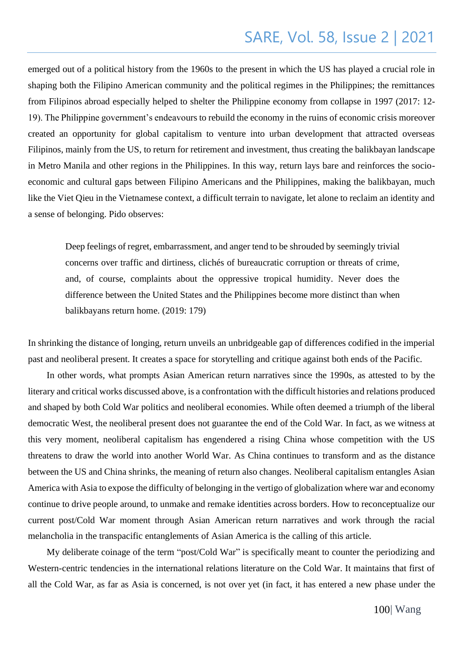emerged out of a political history from the 1960s to the present in which the US has played a crucial role in shaping both the Filipino American community and the political regimes in the Philippines; the remittances from Filipinos abroad especially helped to shelter the Philippine economy from collapse in 1997 (2017: 12- 19). The Philippine government's endeavours to rebuild the economy in the ruins of economic crisis moreover created an opportunity for global capitalism to venture into urban development that attracted overseas Filipinos, mainly from the US, to return for retirement and investment, thus creating the balikbayan landscape in Metro Manila and other regions in the Philippines. In this way, return lays bare and reinforces the socioeconomic and cultural gaps between Filipino Americans and the Philippines, making the balikbayan, much like the Viet Qieu in the Vietnamese context, a difficult terrain to navigate, let alone to reclaim an identity and a sense of belonging. Pido observes:

Deep feelings of regret, embarrassment, and anger tend to be shrouded by seemingly trivial concerns over traffic and dirtiness, clichés of bureaucratic corruption or threats of crime, and, of course, complaints about the oppressive tropical humidity. Never does the difference between the United States and the Philippines become more distinct than when balikbayans return home. (2019: 179)

In shrinking the distance of longing, return unveils an unbridgeable gap of differences codified in the imperial past and neoliberal present. It creates a space for storytelling and critique against both ends of the Pacific.

In other words, what prompts Asian American return narratives since the 1990s, as attested to by the literary and critical works discussed above, is a confrontation with the difficult histories and relations produced and shaped by both Cold War politics and neoliberal economies. While often deemed a triumph of the liberal democratic West, the neoliberal present does not guarantee the end of the Cold War. In fact, as we witness at this very moment, neoliberal capitalism has engendered a rising China whose competition with the US threatens to draw the world into another World War. As China continues to transform and as the distance between the US and China shrinks, the meaning of return also changes. Neoliberal capitalism entangles Asian America with Asia to expose the difficulty of belonging in the vertigo of globalization where war and economy continue to drive people around, to unmake and remake identities across borders. How to reconceptualize our current post/Cold War moment through Asian American return narratives and work through the racial melancholia in the transpacific entanglements of Asian America is the calling of this article.

My deliberate coinage of the term "post/Cold War" is specifically meant to counter the periodizing and Western-centric tendencies in the international relations literature on the Cold War. It maintains that first of all the Cold War, as far as Asia is concerned, is not over yet (in fact, it has entered a new phase under the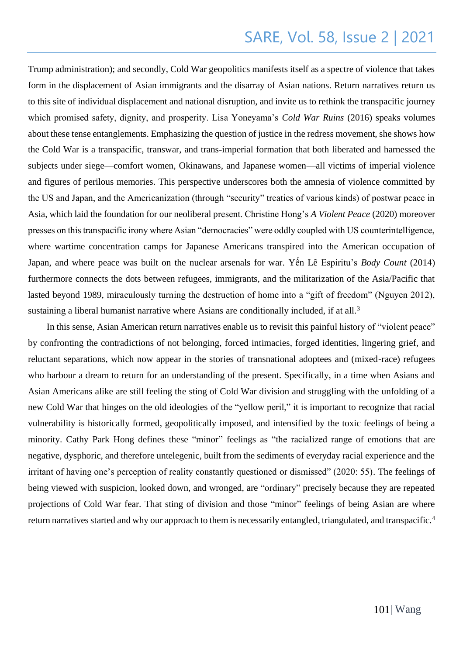Trump administration); and secondly, Cold War geopolitics manifests itself as a spectre of violence that takes form in the displacement of Asian immigrants and the disarray of Asian nations. Return narratives return us to this site of individual displacement and national disruption, and invite us to rethink the transpacific journey which promised safety, dignity, and prosperity. Lisa Yoneyama's *Cold War Ruins* (2016) speaks volumes about these tense entanglements. Emphasizing the question of justice in the redress movement, she shows how the Cold War is a transpacific, transwar, and trans-imperial formation that both liberated and harnessed the subjects under siege—comfort women, Okinawans, and Japanese women—all victims of imperial violence and figures of perilous memories. This perspective underscores both the amnesia of violence committed by the US and Japan, and the Americanization (through "security" treaties of various kinds) of postwar peace in Asia, which laid the foundation for our neoliberal present. Christine Hong's *A Violent Peace* (2020) moreover presses on this transpacific irony where Asian "democracies" were oddly coupled with US counterintelligence, where wartime concentration camps for Japanese Americans transpired into the American occupation of Japan, and where peace was built on the nuclear arsenals for war. Yến Lê Espiritu's *Body Count* (2014) furthermore connects the dots between refugees, immigrants, and the militarization of the Asia/Pacific that lasted beyond 1989, miraculously turning the destruction of home into a "gift of freedom" (Nguyen 2012), sustaining a liberal humanist narrative where Asians are conditionally included, if at all.<sup>3</sup>

In this sense, Asian American return narratives enable us to revisit this painful history of "violent peace" by confronting the contradictions of not belonging, forced intimacies, forged identities, lingering grief, and reluctant separations, which now appear in the stories of transnational adoptees and (mixed-race) refugees who harbour a dream to return for an understanding of the present. Specifically, in a time when Asians and Asian Americans alike are still feeling the sting of Cold War division and struggling with the unfolding of a new Cold War that hinges on the old ideologies of the "yellow peril," it is important to recognize that racial vulnerability is historically formed, geopolitically imposed, and intensified by the toxic feelings of being a minority. Cathy Park Hong defines these "minor" feelings as "the racialized range of emotions that are negative, dysphoric, and therefore untelegenic, built from the sediments of everyday racial experience and the irritant of having one's perception of reality constantly questioned or dismissed" (2020: 55). The feelings of being viewed with suspicion, looked down, and wronged, are "ordinary" precisely because they are repeated projections of Cold War fear. That sting of division and those "minor" feelings of being Asian are where return narratives started and why our approach to them is necessarily entangled, triangulated, and transpacific.<sup>4</sup>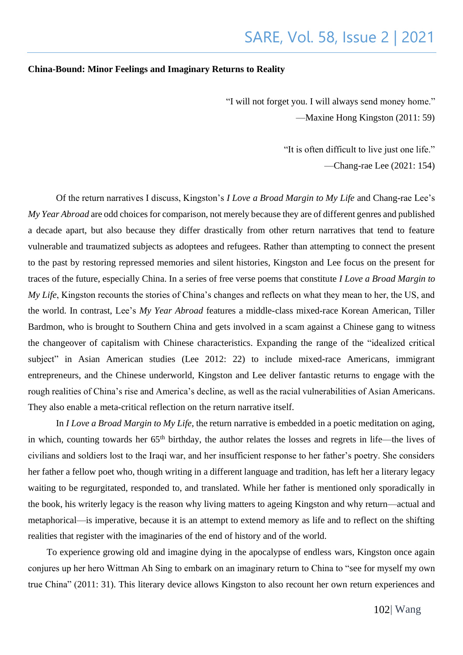#### **China-Bound: Minor Feelings and Imaginary Returns to Reality**

"I will not forget you. I will always send money home." —Maxine Hong Kingston (2011: 59)

> "It is often difficult to live just one life." —Chang-rae Lee (2021: 154)

Of the return narratives I discuss, Kingston's *I Love a Broad Margin to My Life* and Chang-rae Lee's *My Year Abroad* are odd choices for comparison, not merely because they are of different genres and published a decade apart, but also because they differ drastically from other return narratives that tend to feature vulnerable and traumatized subjects as adoptees and refugees. Rather than attempting to connect the present to the past by restoring repressed memories and silent histories, Kingston and Lee focus on the present for traces of the future, especially China. In a series of free verse poems that constitute *I Love a Broad Margin to My Life*, Kingston recounts the stories of China's changes and reflects on what they mean to her, the US, and the world. In contrast, Lee's *My Year Abroad* features a middle-class mixed-race Korean American, Tiller Bardmon, who is brought to Southern China and gets involved in a scam against a Chinese gang to witness the changeover of capitalism with Chinese characteristics. Expanding the range of the "idealized critical subject" in Asian American studies (Lee 2012: 22) to include mixed-race Americans, immigrant entrepreneurs, and the Chinese underworld, Kingston and Lee deliver fantastic returns to engage with the rough realities of China's rise and America's decline, as well as the racial vulnerabilities of Asian Americans. They also enable a meta-critical reflection on the return narrative itself.

In *I Love a Broad Margin to My Life*, the return narrative is embedded in a poetic meditation on aging, in which, counting towards her  $65<sup>th</sup>$  birthday, the author relates the losses and regrets in life—the lives of civilians and soldiers lost to the Iraqi war, and her insufficient response to her father's poetry. She considers her father a fellow poet who, though writing in a different language and tradition, has left her a literary legacy waiting to be regurgitated, responded to, and translated. While her father is mentioned only sporadically in the book, his writerly legacy is the reason why living matters to ageing Kingston and why return—actual and metaphorical—is imperative, because it is an attempt to extend memory as life and to reflect on the shifting realities that register with the imaginaries of the end of history and of the world.

To experience growing old and imagine dying in the apocalypse of endless wars, Kingston once again conjures up her hero Wittman Ah Sing to embark on an imaginary return to China to "see for myself my own true China" (2011: 31). This literary device allows Kingston to also recount her own return experiences and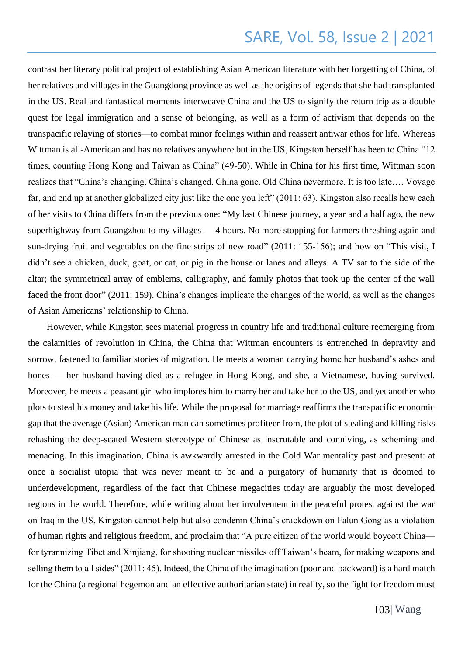contrast her literary political project of establishing Asian American literature with her forgetting of China, of her relatives and villages in the Guangdong province as well as the origins of legends that she had transplanted in the US. Real and fantastical moments interweave China and the US to signify the return trip as a double quest for legal immigration and a sense of belonging, as well as a form of activism that depends on the transpacific relaying of stories—to combat minor feelings within and reassert antiwar ethos for life. Whereas Wittman is all-American and has no relatives anywhere but in the US, Kingston herself has been to China "12" times, counting Hong Kong and Taiwan as China" (49-50). While in China for his first time, Wittman soon realizes that "China's changing. China's changed. China gone. Old China nevermore. It is too late…. Voyage far, and end up at another globalized city just like the one you left" (2011: 63). Kingston also recalls how each of her visits to China differs from the previous one: "My last Chinese journey, a year and a half ago, the new superhighway from Guangzhou to my villages — 4 hours. No more stopping for farmers threshing again and sun-drying fruit and vegetables on the fine strips of new road" (2011: 155-156); and how on "This visit, I didn't see a chicken, duck, goat, or cat, or pig in the house or lanes and alleys. A TV sat to the side of the altar; the symmetrical array of emblems, calligraphy, and family photos that took up the center of the wall faced the front door" (2011: 159). China's changes implicate the changes of the world, as well as the changes of Asian Americans' relationship to China.

However, while Kingston sees material progress in country life and traditional culture reemerging from the calamities of revolution in China, the China that Wittman encounters is entrenched in depravity and sorrow, fastened to familiar stories of migration. He meets a woman carrying home her husband's ashes and bones — her husband having died as a refugee in Hong Kong, and she, a Vietnamese, having survived. Moreover, he meets a peasant girl who implores him to marry her and take her to the US, and yet another who plots to steal his money and take his life. While the proposal for marriage reaffirms the transpacific economic gap that the average (Asian) American man can sometimes profiteer from, the plot of stealing and killing risks rehashing the deep-seated Western stereotype of Chinese as inscrutable and conniving, as scheming and menacing. In this imagination, China is awkwardly arrested in the Cold War mentality past and present: at once a socialist utopia that was never meant to be and a purgatory of humanity that is doomed to underdevelopment, regardless of the fact that Chinese megacities today are arguably the most developed regions in the world. Therefore, while writing about her involvement in the peaceful protest against the war on Iraq in the US, Kingston cannot help but also condemn China's crackdown on Falun Gong as a violation of human rights and religious freedom, and proclaim that "A pure citizen of the world would boycott China for tyrannizing Tibet and Xinjiang, for shooting nuclear missiles off Taiwan's beam, for making weapons and selling them to all sides" (2011: 45). Indeed, the China of the imagination (poor and backward) is a hard match for the China (a regional hegemon and an effective authoritarian state) in reality, so the fight for freedom must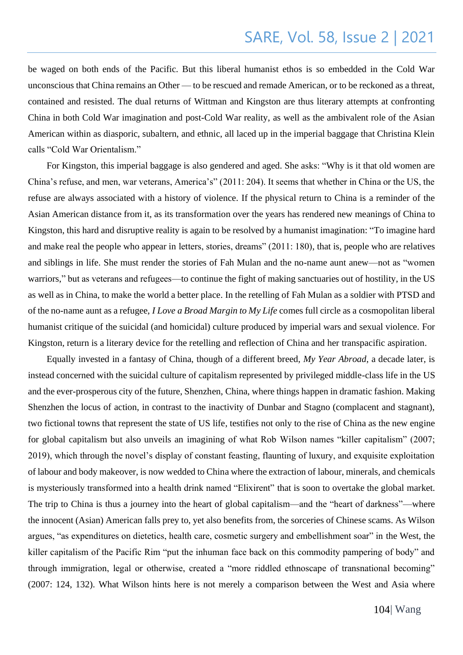be waged on both ends of the Pacific. But this liberal humanist ethos is so embedded in the Cold War unconscious that China remains an Other — to be rescued and remade American, or to be reckoned as a threat, contained and resisted. The dual returns of Wittman and Kingston are thus literary attempts at confronting China in both Cold War imagination and post-Cold War reality, as well as the ambivalent role of the Asian American within as diasporic, subaltern, and ethnic, all laced up in the imperial baggage that Christina Klein calls "Cold War Orientalism."

For Kingston, this imperial baggage is also gendered and aged. She asks: "Why is it that old women are China's refuse, and men, war veterans, America's" (2011: 204). It seems that whether in China or the US, the refuse are always associated with a history of violence. If the physical return to China is a reminder of the Asian American distance from it, as its transformation over the years has rendered new meanings of China to Kingston, this hard and disruptive reality is again to be resolved by a humanist imagination: "To imagine hard and make real the people who appear in letters, stories, dreams" (2011: 180), that is, people who are relatives and siblings in life. She must render the stories of Fah Mulan and the no-name aunt anew—not as "women warriors," but as veterans and refugees—to continue the fight of making sanctuaries out of hostility, in the US as well as in China, to make the world a better place. In the retelling of Fah Mulan as a soldier with PTSD and of the no-name aunt as a refugee, *I Love a Broad Margin to My Life* comes full circle as a cosmopolitan liberal humanist critique of the suicidal (and homicidal) culture produced by imperial wars and sexual violence. For Kingston, return is a literary device for the retelling and reflection of China and her transpacific aspiration.

Equally invested in a fantasy of China, though of a different breed, *My Year Abroad*, a decade later, is instead concerned with the suicidal culture of capitalism represented by privileged middle-class life in the US and the ever-prosperous city of the future, Shenzhen, China, where things happen in dramatic fashion. Making Shenzhen the locus of action, in contrast to the inactivity of Dunbar and Stagno (complacent and stagnant), two fictional towns that represent the state of US life, testifies not only to the rise of China as the new engine for global capitalism but also unveils an imagining of what Rob Wilson names "killer capitalism" (2007; 2019), which through the novel's display of constant feasting, flaunting of luxury, and exquisite exploitation of labour and body makeover, is now wedded to China where the extraction of labour, minerals, and chemicals is mysteriously transformed into a health drink named "Elixirent" that is soon to overtake the global market. The trip to China is thus a journey into the heart of global capitalism—and the "heart of darkness"—where the innocent (Asian) American falls prey to, yet also benefits from, the sorceries of Chinese scams. As Wilson argues, "as expenditures on dietetics, health care, cosmetic surgery and embellishment soar" in the West, the killer capitalism of the Pacific Rim "put the inhuman face back on this commodity pampering of body" and through immigration, legal or otherwise, created a "more riddled ethnoscape of transnational becoming" (2007: 124, 132). What Wilson hints here is not merely a comparison between the West and Asia where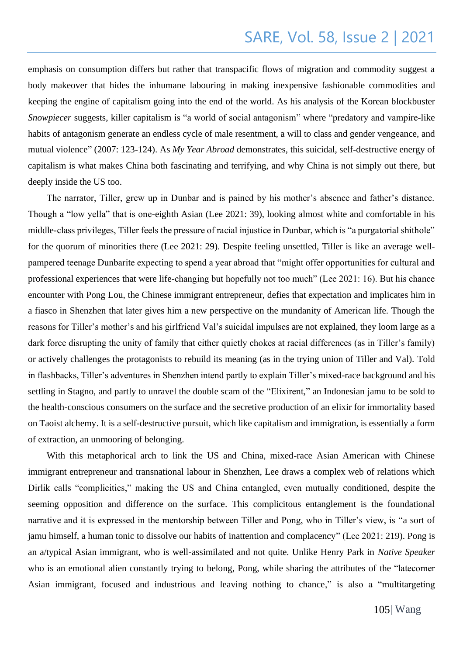emphasis on consumption differs but rather that transpacific flows of migration and commodity suggest a body makeover that hides the inhumane labouring in making inexpensive fashionable commodities and keeping the engine of capitalism going into the end of the world. As his analysis of the Korean blockbuster *Snowpiecer* suggests, killer capitalism is "a world of social antagonism" where "predatory and vampire-like habits of antagonism generate an endless cycle of male resentment, a will to class and gender vengeance, and mutual violence" (2007: 123-124). As *My Year Abroad* demonstrates, this suicidal, self-destructive energy of capitalism is what makes China both fascinating and terrifying, and why China is not simply out there, but deeply inside the US too.

The narrator, Tiller, grew up in Dunbar and is pained by his mother's absence and father's distance. Though a "low yella" that is one-eighth Asian (Lee 2021: 39), looking almost white and comfortable in his middle-class privileges, Tiller feels the pressure of racial injustice in Dunbar, which is "a purgatorial shithole" for the quorum of minorities there (Lee 2021: 29). Despite feeling unsettled, Tiller is like an average wellpampered teenage Dunbarite expecting to spend a year abroad that "might offer opportunities for cultural and professional experiences that were life-changing but hopefully not too much" (Lee 2021: 16). But his chance encounter with Pong Lou, the Chinese immigrant entrepreneur, defies that expectation and implicates him in a fiasco in Shenzhen that later gives him a new perspective on the mundanity of American life. Though the reasons for Tiller's mother's and his girlfriend Val's suicidal impulses are not explained, they loom large as a dark force disrupting the unity of family that either quietly chokes at racial differences (as in Tiller's family) or actively challenges the protagonists to rebuild its meaning (as in the trying union of Tiller and Val). Told in flashbacks, Tiller's adventures in Shenzhen intend partly to explain Tiller's mixed-race background and his settling in Stagno, and partly to unravel the double scam of the "Elixirent," an Indonesian jamu to be sold to the health-conscious consumers on the surface and the secretive production of an elixir for immortality based on Taoist alchemy. It is a self-destructive pursuit, which like capitalism and immigration, is essentially a form of extraction, an unmooring of belonging.

With this metaphorical arch to link the US and China, mixed-race Asian American with Chinese immigrant entrepreneur and transnational labour in Shenzhen, Lee draws a complex web of relations which Dirlik calls "complicities," making the US and China entangled, even mutually conditioned, despite the seeming opposition and difference on the surface. This complicitous entanglement is the foundational narrative and it is expressed in the mentorship between Tiller and Pong, who in Tiller's view, is "a sort of jamu himself, a human tonic to dissolve our habits of inattention and complacency" (Lee 2021: 219). Pong is an a/typical Asian immigrant, who is well-assimilated and not quite. Unlike Henry Park in *Native Speaker* who is an emotional alien constantly trying to belong, Pong, while sharing the attributes of the "latecomer Asian immigrant, focused and industrious and leaving nothing to chance," is also a "multitargeting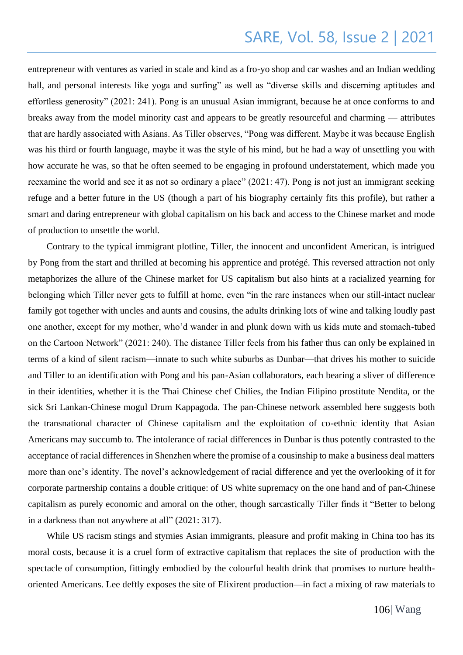entrepreneur with ventures as varied in scale and kind as a fro-yo shop and car washes and an Indian wedding hall, and personal interests like yoga and surfing" as well as "diverse skills and discerning aptitudes and effortless generosity" (2021: 241). Pong is an unusual Asian immigrant, because he at once conforms to and breaks away from the model minority cast and appears to be greatly resourceful and charming — attributes that are hardly associated with Asians. As Tiller observes, "Pong was different. Maybe it was because English was his third or fourth language, maybe it was the style of his mind, but he had a way of unsettling you with how accurate he was, so that he often seemed to be engaging in profound understatement, which made you reexamine the world and see it as not so ordinary a place" (2021: 47). Pong is not just an immigrant seeking refuge and a better future in the US (though a part of his biography certainly fits this profile), but rather a smart and daring entrepreneur with global capitalism on his back and access to the Chinese market and mode of production to unsettle the world.

Contrary to the typical immigrant plotline, Tiller, the innocent and unconfident American, is intrigued by Pong from the start and thrilled at becoming his apprentice and protégé. This reversed attraction not only metaphorizes the allure of the Chinese market for US capitalism but also hints at a racialized yearning for belonging which Tiller never gets to fulfill at home, even "in the rare instances when our still-intact nuclear family got together with uncles and aunts and cousins, the adults drinking lots of wine and talking loudly past one another, except for my mother, who'd wander in and plunk down with us kids mute and stomach-tubed on the Cartoon Network" (2021: 240). The distance Tiller feels from his father thus can only be explained in terms of a kind of silent racism—innate to such white suburbs as Dunbar—that drives his mother to suicide and Tiller to an identification with Pong and his pan-Asian collaborators, each bearing a sliver of difference in their identities, whether it is the Thai Chinese chef Chilies, the Indian Filipino prostitute Nendita, or the sick Sri Lankan-Chinese mogul Drum Kappagoda. The pan-Chinese network assembled here suggests both the transnational character of Chinese capitalism and the exploitation of co-ethnic identity that Asian Americans may succumb to. The intolerance of racial differences in Dunbar is thus potently contrasted to the acceptance of racial differences in Shenzhen where the promise of a cousinship to make a business deal matters more than one's identity. The novel's acknowledgement of racial difference and yet the overlooking of it for corporate partnership contains a double critique: of US white supremacy on the one hand and of pan-Chinese capitalism as purely economic and amoral on the other, though sarcastically Tiller finds it "Better to belong in a darkness than not anywhere at all" (2021: 317).

While US racism stings and stymies Asian immigrants, pleasure and profit making in China too has its moral costs, because it is a cruel form of extractive capitalism that replaces the site of production with the spectacle of consumption, fittingly embodied by the colourful health drink that promises to nurture healthoriented Americans. Lee deftly exposes the site of Elixirent production—in fact a mixing of raw materials to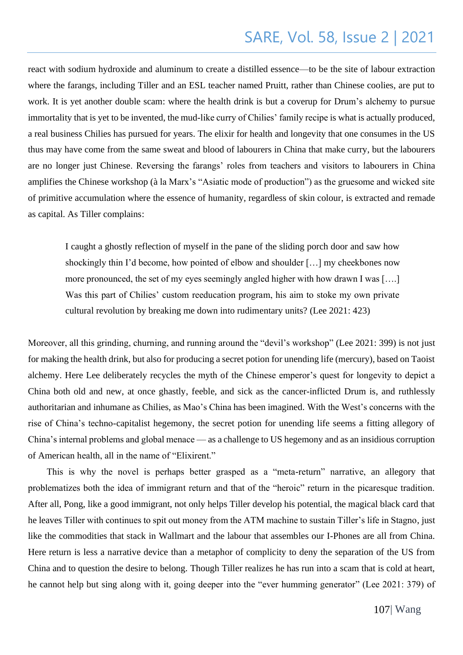react with sodium hydroxide and aluminum to create a distilled essence—to be the site of labour extraction where the farangs, including Tiller and an ESL teacher named Pruitt, rather than Chinese coolies, are put to work. It is yet another double scam: where the health drink is but a coverup for Drum's alchemy to pursue immortality that is yet to be invented, the mud-like curry of Chilies' family recipe is what is actually produced, a real business Chilies has pursued for years. The elixir for health and longevity that one consumes in the US thus may have come from the same sweat and blood of labourers in China that make curry, but the labourers are no longer just Chinese. Reversing the farangs' roles from teachers and visitors to labourers in China amplifies the Chinese workshop (à la Marx's "Asiatic mode of production") as the gruesome and wicked site of primitive accumulation where the essence of humanity, regardless of skin colour, is extracted and remade as capital. As Tiller complains:

I caught a ghostly reflection of myself in the pane of the sliding porch door and saw how shockingly thin I'd become, how pointed of elbow and shoulder […] my cheekbones now more pronounced, the set of my eyes seemingly angled higher with how drawn I was [….] Was this part of Chilies' custom reeducation program, his aim to stoke my own private cultural revolution by breaking me down into rudimentary units? (Lee 2021: 423)

Moreover, all this grinding, churning, and running around the "devil's workshop" (Lee 2021: 399) is not just for making the health drink, but also for producing a secret potion for unending life (mercury), based on Taoist alchemy. Here Lee deliberately recycles the myth of the Chinese emperor's quest for longevity to depict a China both old and new, at once ghastly, feeble, and sick as the cancer-inflicted Drum is, and ruthlessly authoritarian and inhumane as Chilies, as Mao's China has been imagined. With the West's concerns with the rise of China's techno-capitalist hegemony, the secret potion for unending life seems a fitting allegory of China's internal problems and global menace — as a challenge to US hegemony and as an insidious corruption of American health, all in the name of "Elixirent."

This is why the novel is perhaps better grasped as a "meta-return" narrative, an allegory that problematizes both the idea of immigrant return and that of the "heroic" return in the picaresque tradition. After all, Pong, like a good immigrant, not only helps Tiller develop his potential, the magical black card that he leaves Tiller with continues to spit out money from the ATM machine to sustain Tiller's life in Stagno, just like the commodities that stack in Wallmart and the labour that assembles our I-Phones are all from China. Here return is less a narrative device than a metaphor of complicity to deny the separation of the US from China and to question the desire to belong. Though Tiller realizes he has run into a scam that is cold at heart, he cannot help but sing along with it, going deeper into the "ever humming generator" (Lee 2021: 379) of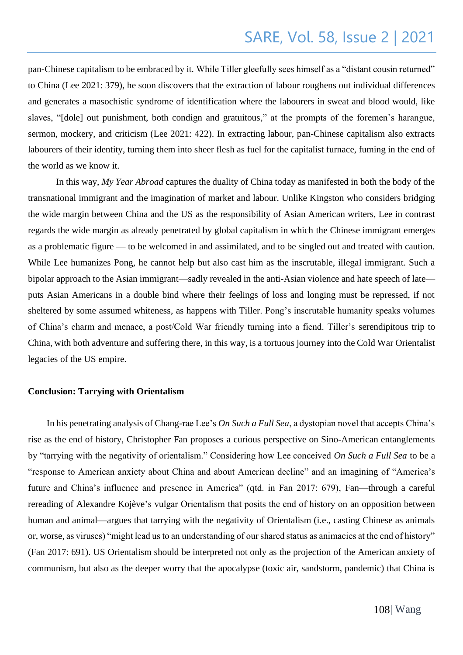pan-Chinese capitalism to be embraced by it. While Tiller gleefully sees himself as a "distant cousin returned" to China (Lee 2021: 379), he soon discovers that the extraction of labour roughens out individual differences and generates a masochistic syndrome of identification where the labourers in sweat and blood would, like slaves, "[dole] out punishment, both condign and gratuitous," at the prompts of the foremen's harangue, sermon, mockery, and criticism (Lee 2021: 422). In extracting labour, pan-Chinese capitalism also extracts labourers of their identity, turning them into sheer flesh as fuel for the capitalist furnace, fuming in the end of the world as we know it.

In this way, *My Year Abroad* captures the duality of China today as manifested in both the body of the transnational immigrant and the imagination of market and labour. Unlike Kingston who considers bridging the wide margin between China and the US as the responsibility of Asian American writers, Lee in contrast regards the wide margin as already penetrated by global capitalism in which the Chinese immigrant emerges as a problematic figure — to be welcomed in and assimilated, and to be singled out and treated with caution. While Lee humanizes Pong, he cannot help but also cast him as the inscrutable, illegal immigrant. Such a bipolar approach to the Asian immigrant—sadly revealed in the anti-Asian violence and hate speech of late puts Asian Americans in a double bind where their feelings of loss and longing must be repressed, if not sheltered by some assumed whiteness, as happens with Tiller. Pong's inscrutable humanity speaks volumes of China's charm and menace, a post/Cold War friendly turning into a fiend. Tiller's serendipitous trip to China, with both adventure and suffering there, in this way, is a tortuous journey into the Cold War Orientalist legacies of the US empire.

#### **Conclusion: Tarrying with Orientalism**

In his penetrating analysis of Chang-rae Lee's *On Such a Full Sea*, a dystopian novel that accepts China's rise as the end of history, Christopher Fan proposes a curious perspective on Sino-American entanglements by "tarrying with the negativity of orientalism." Considering how Lee conceived *On Such a Full Sea* to be a "response to American anxiety about China and about American decline" and an imagining of "America's future and China's influence and presence in America" (qtd. in Fan 2017: 679), Fan—through a careful rereading of Alexandre Kojève's vulgar Orientalism that posits the end of history on an opposition between human and animal—argues that tarrying with the negativity of Orientalism (i.e., casting Chinese as animals or, worse, as viruses) "might lead us to an understanding of our shared status as animacies at the end of history" (Fan 2017: 691). US Orientalism should be interpreted not only as the projection of the American anxiety of communism, but also as the deeper worry that the apocalypse (toxic air, sandstorm, pandemic) that China is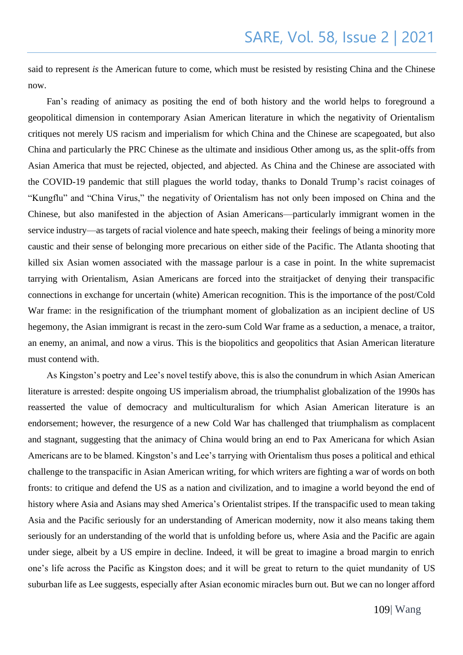said to represent *is* the American future to come, which must be resisted by resisting China and the Chinese now.

Fan's reading of animacy as positing the end of both history and the world helps to foreground a geopolitical dimension in contemporary Asian American literature in which the negativity of Orientalism critiques not merely US racism and imperialism for which China and the Chinese are scapegoated, but also China and particularly the PRC Chinese as the ultimate and insidious Other among us, as the split-offs from Asian America that must be rejected, objected, and abjected. As China and the Chinese are associated with the COVID-19 pandemic that still plagues the world today, thanks to Donald Trump's racist coinages of "Kungflu" and "China Virus," the negativity of Orientalism has not only been imposed on China and the Chinese, but also manifested in the abjection of Asian Americans—particularly immigrant women in the service industry—as targets of racial violence and hate speech, making their feelings of being a minority more caustic and their sense of belonging more precarious on either side of the Pacific. The Atlanta shooting that killed six Asian women associated with the massage parlour is a case in point. In the white supremacist tarrying with Orientalism, Asian Americans are forced into the straitjacket of denying their transpacific connections in exchange for uncertain (white) American recognition. This is the importance of the post/Cold War frame: in the resignification of the triumphant moment of globalization as an incipient decline of US hegemony, the Asian immigrant is recast in the zero-sum Cold War frame as a seduction, a menace, a traitor, an enemy, an animal, and now a virus. This is the biopolitics and geopolitics that Asian American literature must contend with.

As Kingston's poetry and Lee's novel testify above, this is also the conundrum in which Asian American literature is arrested: despite ongoing US imperialism abroad, the triumphalist globalization of the 1990s has reasserted the value of democracy and multiculturalism for which Asian American literature is an endorsement; however, the resurgence of a new Cold War has challenged that triumphalism as complacent and stagnant, suggesting that the animacy of China would bring an end to Pax Americana for which Asian Americans are to be blamed. Kingston's and Lee's tarrying with Orientalism thus poses a political and ethical challenge to the transpacific in Asian American writing, for which writers are fighting a war of words on both fronts: to critique and defend the US as a nation and civilization, and to imagine a world beyond the end of history where Asia and Asians may shed America's Orientalist stripes. If the transpacific used to mean taking Asia and the Pacific seriously for an understanding of American modernity, now it also means taking them seriously for an understanding of the world that is unfolding before us, where Asia and the Pacific are again under siege, albeit by a US empire in decline. Indeed, it will be great to imagine a broad margin to enrich one's life across the Pacific as Kingston does; and it will be great to return to the quiet mundanity of US suburban life as Lee suggests, especially after Asian economic miracles burn out. But we can no longer afford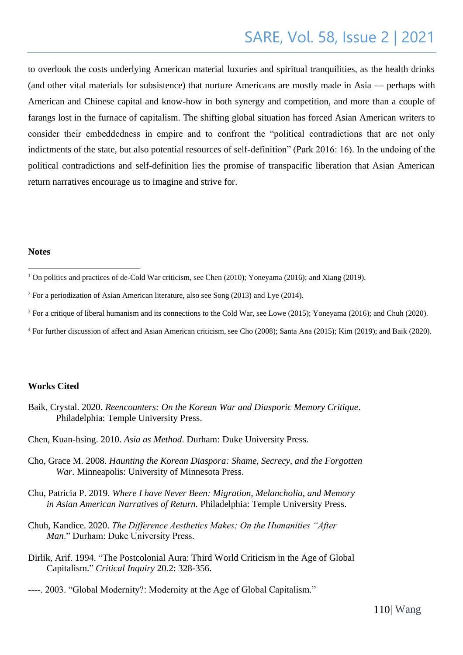to overlook the costs underlying American material luxuries and spiritual tranquilities, as the health drinks (and other vital materials for subsistence) that nurture Americans are mostly made in Asia — perhaps with American and Chinese capital and know-how in both synergy and competition, and more than a couple of farangs lost in the furnace of capitalism. The shifting global situation has forced Asian American writers to consider their embeddedness in empire and to confront the "political contradictions that are not only indictments of the state, but also potential resources of self-definition" (Park 2016: 16). In the undoing of the political contradictions and self-definition lies the promise of transpacific liberation that Asian American return narratives encourage us to imagine and strive for.

#### **Notes**

- $2$  For a periodization of Asian American literature, also see Song (2013) and Lye (2014).
- <sup>3</sup> For a critique of liberal humanism and its connections to the Cold War, see Lowe (2015); Yoneyama (2016); and Chuh (2020).
- <sup>4</sup> For further discussion of affect and Asian American criticism, see Cho (2008); Santa Ana (2015); Kim (2019); and Baik (2020).

#### **Works Cited**

- Baik, Crystal. 2020. *Reencounters: On the Korean War and Diasporic Memory Critique*. Philadelphia: Temple University Press.
- Chen, Kuan-hsing. 2010. *Asia as Method*. Durham: Duke University Press.
- Cho, Grace M. 2008. *Haunting the Korean Diaspora: Shame, Secrecy, and the Forgotten War*. Minneapolis: University of Minnesota Press.
- Chu, Patricia P. 2019. *Where I have Never Been: Migration, Melancholia, and Memory in Asian American Narratives of Return.* Philadelphia: Temple University Press.
- Chuh, Kandice. 2020. *The Difference Aesthetics Makes: On the Humanities "After Man*." Durham: Duke University Press.
- Dirlik, Arif. 1994. "The Postcolonial Aura: Third World Criticism in the Age of Global Capitalism." *Critical Inquiry* 20.2: 328-356.
- ----. 2003. "Global Modernity?: Modernity at the Age of Global Capitalism."

<sup>&</sup>lt;sup>1</sup> On politics and practices of de-Cold War criticism, see Chen (2010); Yoneyama (2016); and Xiang (2019).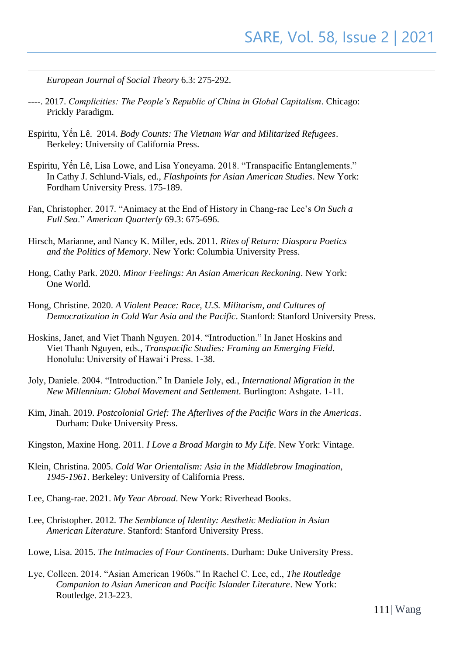*European Journal of Social Theory* 6.3: 275-292.

- ----. 2017. *Complicities: The People's Republic of China in Global Capitalism*. Chicago: Prickly Paradigm.
- Espiritu, Yến Lê. 2014. *Body Counts: The Vietnam War and Militarized Refugees*. Berkeley: University of California Press.
- Espiritu, Yến Lê, Lisa Lowe, and Lisa Yoneyama. 2018. "Transpacific Entanglements." In Cathy J. Schlund-Vials, ed., *Flashpoints for Asian American Studies*. New York: Fordham University Press. 175-189.
- Fan, Christopher. 2017. "Animacy at the End of History in Chang-rae Lee's *On Such a Full Sea*." *American Quarterly* 69.3: 675-696.
- Hirsch, Marianne, and Nancy K. Miller, eds. 2011. *Rites of Return: Diaspora Poetics and the Politics of Memory*. New York: Columbia University Press.
- Hong, Cathy Park. 2020. *Minor Feelings: An Asian American Reckoning*. New York: One World.
- Hong, Christine. 2020. *A Violent Peace: Race, U.S. Militarism, and Cultures of Democratization in Cold War Asia and the Pacific*. Stanford: Stanford University Press.
- Hoskins, Janet, and Viet Thanh Nguyen. 2014. "Introduction." In Janet Hoskins and Viet Thanh Nguyen, eds., *Transpacific Studies: Framing an Emerging Field*. Honolulu: University of Hawai'i Press. 1-38.
- Joly, Daniele. 2004. "Introduction." In Daniele Joly, ed., *International Migration in the New Millennium: Global Movement and Settlement*. Burlington: Ashgate. 1-11.
- Kim, Jinah. 2019. *Postcolonial Grief: The Afterlives of the Pacific Wars in the Americas*. Durham: Duke University Press.
- Kingston, Maxine Hong. 2011. *I Love a Broad Margin to My Life*. New York: Vintage.
- Klein, Christina. 2005. *Cold War Orientalism: Asia in the Middlebrow Imagination, 1945-1961*. Berkeley: University of California Press.
- Lee, Chang-rae. 2021. *My Year Abroad*. New York: Riverhead Books.
- Lee, Christopher. 2012. *The Semblance of Identity: Aesthetic Mediation in Asian American Literature*. Stanford: Stanford University Press.
- Lowe, Lisa. 2015. *The Intimacies of Four Continents*. Durham: Duke University Press.
- Lye, Colleen. 2014. "Asian American 1960s." In Rachel C. Lee, ed., *The Routledge Companion to Asian American and Pacific Islander Literature*. New York: Routledge. 213-223.